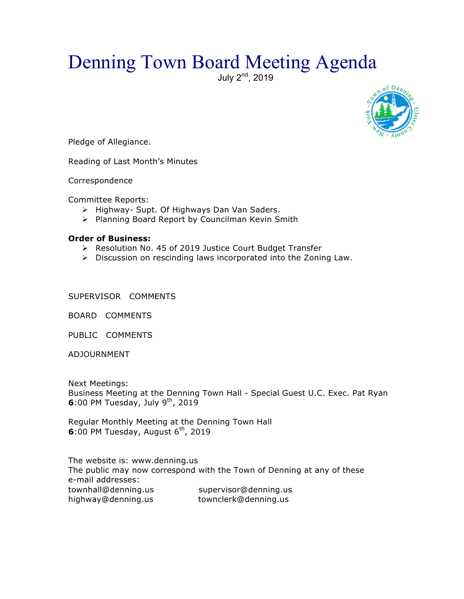## Denning Town Board Meeting Agenda

July 2<sup>nd</sup>, 2019



Pledge of Allegiance.

Reading of Last Month's Minutes

Correspondence

Committee Reports:

- > Highway- Supt. Of Highways Dan Van Saders.
- > Planning Board Report by Councilman Kevin Smith

## **Order of Business:**

- ▶ Resolution No. 45 of 2019 Justice Court Budget Transfer
- $\triangleright$  Discussion on rescinding laws incorporated into the Zoning Law.

SUPERVISOR COMMENTS

BOARD COMMENTS

PUBLIC COMMENTS

ADJOURNMENT

Next Meetings: Business Meeting at the Denning Town Hall - Special Guest U.C. Exec. Pat Ryan **6**:00 PM Tuesday, July  $9<sup>th</sup>$ , 2019

Regular Monthly Meeting at the Denning Town Hall **6**:00 PM Tuesday, August 6<sup>th</sup>, 2019

The website is: www.denning.us The public may now correspond with the Town of Denning at any of these e-mail addresses: townhall@denning.us supervisor@denning.us highway@denning.us townclerk@denning.us